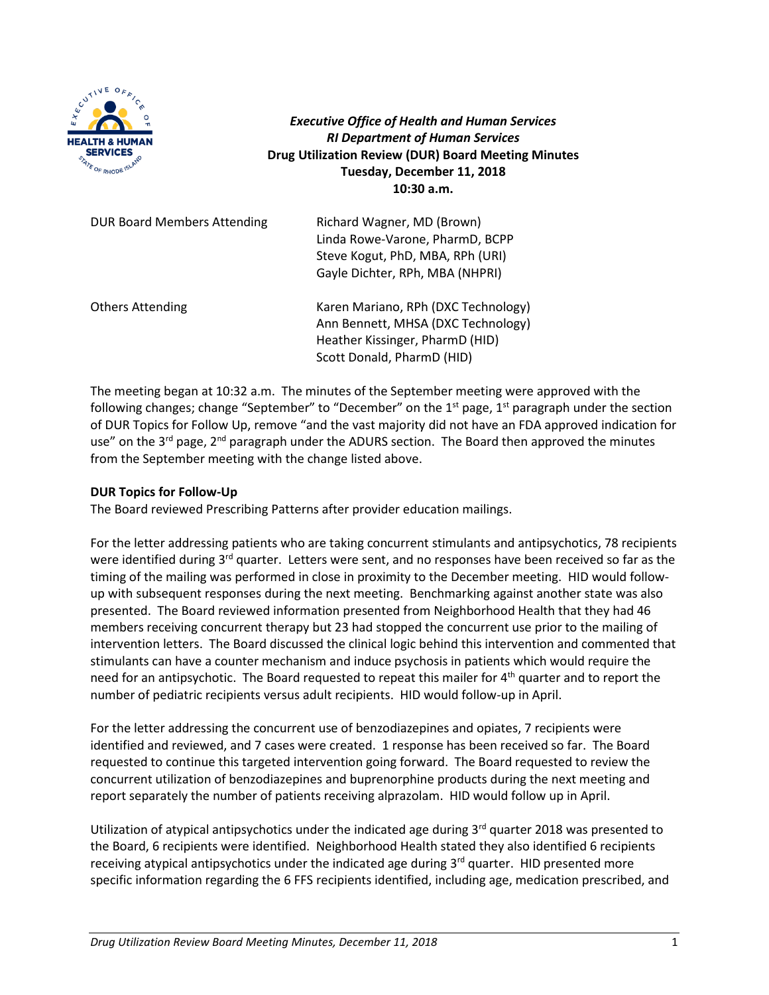

*Executive Office of Health and Human Services RI Department of Human Services* **Drug Utilization Review (DUR) Board Meeting Minutes Tuesday, December 11, 2018 10:30 a.m.**

| <b>DUR Board Members Attending</b> | Richard Wagner, MD (Brown)<br>Linda Rowe-Varone, PharmD, BCPP<br>Steve Kogut, PhD, MBA, RPh (URI)<br>Gayle Dichter, RPh, MBA (NHPRI)       |
|------------------------------------|--------------------------------------------------------------------------------------------------------------------------------------------|
| <b>Others Attending</b>            | Karen Mariano, RPh (DXC Technology)<br>Ann Bennett, MHSA (DXC Technology)<br>Heather Kissinger, PharmD (HID)<br>Scott Donald, PharmD (HID) |

The meeting began at 10:32 a.m. The minutes of the September meeting were approved with the following changes; change "September" to "December" on the  $1<sup>st</sup>$  page,  $1<sup>st</sup>$  paragraph under the section of DUR Topics for Follow Up, remove "and the vast majority did not have an FDA approved indication for use" on the 3<sup>rd</sup> page, 2<sup>nd</sup> paragraph under the ADURS section. The Board then approved the minutes from the September meeting with the change listed above.

## **DUR Topics for Follow-Up**

The Board reviewed Prescribing Patterns after provider education mailings.

For the letter addressing patients who are taking concurrent stimulants and antipsychotics, 78 recipients were identified during 3<sup>rd</sup> quarter. Letters were sent, and no responses have been received so far as the timing of the mailing was performed in close in proximity to the December meeting. HID would followup with subsequent responses during the next meeting. Benchmarking against another state was also presented. The Board reviewed information presented from Neighborhood Health that they had 46 members receiving concurrent therapy but 23 had stopped the concurrent use prior to the mailing of intervention letters. The Board discussed the clinical logic behind this intervention and commented that stimulants can have a counter mechanism and induce psychosis in patients which would require the need for an antipsychotic. The Board requested to repeat this mailer for 4<sup>th</sup> quarter and to report the number of pediatric recipients versus adult recipients. HID would follow-up in April.

For the letter addressing the concurrent use of benzodiazepines and opiates, 7 recipients were identified and reviewed, and 7 cases were created. 1 response has been received so far. The Board requested to continue this targeted intervention going forward. The Board requested to review the concurrent utilization of benzodiazepines and buprenorphine products during the next meeting and report separately the number of patients receiving alprazolam. HID would follow up in April.

Utilization of atypical antipsychotics under the indicated age during 3rd quarter 2018 was presented to the Board, 6 recipients were identified. Neighborhood Health stated they also identified 6 recipients receiving atypical antipsychotics under the indicated age during 3<sup>rd</sup> quarter. HID presented more specific information regarding the 6 FFS recipients identified, including age, medication prescribed, and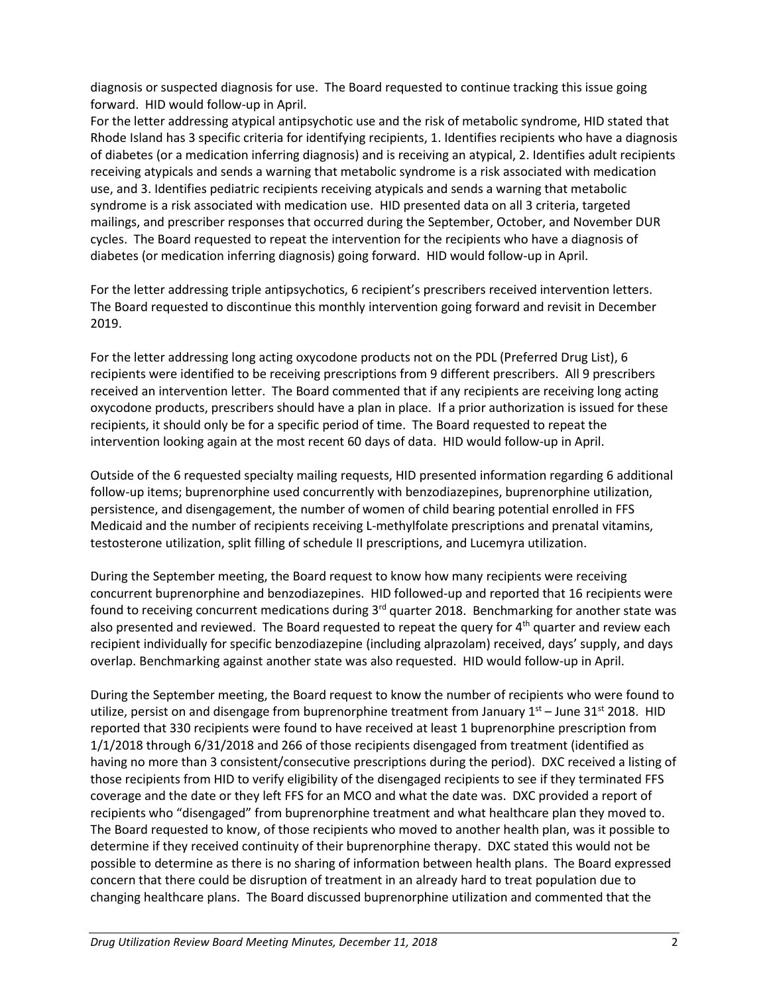diagnosis or suspected diagnosis for use. The Board requested to continue tracking this issue going forward. HID would follow-up in April.

For the letter addressing atypical antipsychotic use and the risk of metabolic syndrome, HID stated that Rhode Island has 3 specific criteria for identifying recipients, 1. Identifies recipients who have a diagnosis of diabetes (or a medication inferring diagnosis) and is receiving an atypical, 2. Identifies adult recipients receiving atypicals and sends a warning that metabolic syndrome is a risk associated with medication use, and 3. Identifies pediatric recipients receiving atypicals and sends a warning that metabolic syndrome is a risk associated with medication use. HID presented data on all 3 criteria, targeted mailings, and prescriber responses that occurred during the September, October, and November DUR cycles. The Board requested to repeat the intervention for the recipients who have a diagnosis of diabetes (or medication inferring diagnosis) going forward. HID would follow-up in April.

For the letter addressing triple antipsychotics, 6 recipient's prescribers received intervention letters. The Board requested to discontinue this monthly intervention going forward and revisit in December 2019.

For the letter addressing long acting oxycodone products not on the PDL (Preferred Drug List), 6 recipients were identified to be receiving prescriptions from 9 different prescribers. All 9 prescribers received an intervention letter. The Board commented that if any recipients are receiving long acting oxycodone products, prescribers should have a plan in place. If a prior authorization is issued for these recipients, it should only be for a specific period of time. The Board requested to repeat the intervention looking again at the most recent 60 days of data. HID would follow-up in April.

Outside of the 6 requested specialty mailing requests, HID presented information regarding 6 additional follow-up items; buprenorphine used concurrently with benzodiazepines, buprenorphine utilization, persistence, and disengagement, the number of women of child bearing potential enrolled in FFS Medicaid and the number of recipients receiving L-methylfolate prescriptions and prenatal vitamins, testosterone utilization, split filling of schedule II prescriptions, and Lucemyra utilization.

During the September meeting, the Board request to know how many recipients were receiving concurrent buprenorphine and benzodiazepines. HID followed-up and reported that 16 recipients were found to receiving concurrent medications during 3<sup>rd</sup> quarter 2018. Benchmarking for another state was also presented and reviewed. The Board requested to repeat the query for 4<sup>th</sup> quarter and review each recipient individually for specific benzodiazepine (including alprazolam) received, days' supply, and days overlap. Benchmarking against another state was also requested. HID would follow-up in April.

During the September meeting, the Board request to know the number of recipients who were found to utilize, persist on and disengage from buprenorphine treatment from January  $1<sup>st</sup>$  – June 31<sup>st</sup> 2018. HID reported that 330 recipients were found to have received at least 1 buprenorphine prescription from 1/1/2018 through 6/31/2018 and 266 of those recipients disengaged from treatment (identified as having no more than 3 consistent/consecutive prescriptions during the period). DXC received a listing of those recipients from HID to verify eligibility of the disengaged recipients to see if they terminated FFS coverage and the date or they left FFS for an MCO and what the date was. DXC provided a report of recipients who "disengaged" from buprenorphine treatment and what healthcare plan they moved to. The Board requested to know, of those recipients who moved to another health plan, was it possible to determine if they received continuity of their buprenorphine therapy. DXC stated this would not be possible to determine as there is no sharing of information between health plans. The Board expressed concern that there could be disruption of treatment in an already hard to treat population due to changing healthcare plans. The Board discussed buprenorphine utilization and commented that the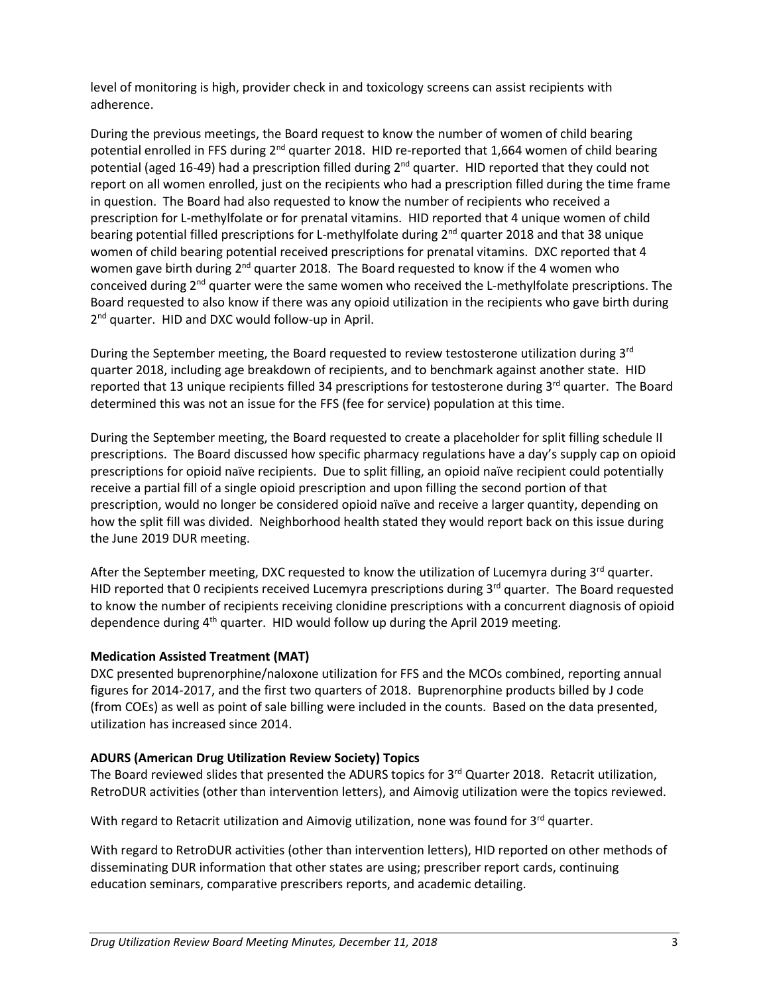level of monitoring is high, provider check in and toxicology screens can assist recipients with adherence.

During the previous meetings, the Board request to know the number of women of child bearing potential enrolled in FFS during 2<sup>nd</sup> quarter 2018. HID re-reported that 1,664 women of child bearing potential (aged 16-49) had a prescription filled during 2<sup>nd</sup> quarter. HID reported that they could not report on all women enrolled, just on the recipients who had a prescription filled during the time frame in question. The Board had also requested to know the number of recipients who received a prescription for L-methylfolate or for prenatal vitamins. HID reported that 4 unique women of child bearing potential filled prescriptions for L-methylfolate during 2<sup>nd</sup> quarter 2018 and that 38 unique women of child bearing potential received prescriptions for prenatal vitamins. DXC reported that 4 women gave birth during  $2^{nd}$  quarter 2018. The Board requested to know if the 4 women who conceived during  $2<sup>nd</sup>$  quarter were the same women who received the L-methylfolate prescriptions. The Board requested to also know if there was any opioid utilization in the recipients who gave birth during 2<sup>nd</sup> quarter. HID and DXC would follow-up in April.

During the September meeting, the Board requested to review testosterone utilization during 3<sup>rd</sup> quarter 2018, including age breakdown of recipients, and to benchmark against another state. HID reported that 13 unique recipients filled 34 prescriptions for testosterone during 3rd quarter. The Board determined this was not an issue for the FFS (fee for service) population at this time.

During the September meeting, the Board requested to create a placeholder for split filling schedule II prescriptions. The Board discussed how specific pharmacy regulations have a day's supply cap on opioid prescriptions for opioid naïve recipients. Due to split filling, an opioid naïve recipient could potentially receive a partial fill of a single opioid prescription and upon filling the second portion of that prescription, would no longer be considered opioid naïve and receive a larger quantity, depending on how the split fill was divided. Neighborhood health stated they would report back on this issue during the June 2019 DUR meeting.

After the September meeting, DXC requested to know the utilization of Lucemyra during 3<sup>rd</sup> quarter. HID reported that 0 recipients received Lucemyra prescriptions during 3<sup>rd</sup> quarter. The Board requested to know the number of recipients receiving clonidine prescriptions with a concurrent diagnosis of opioid dependence during  $4<sup>th</sup>$  quarter. HID would follow up during the April 2019 meeting.

# **Medication Assisted Treatment (MAT)**

DXC presented buprenorphine/naloxone utilization for FFS and the MCOs combined, reporting annual figures for 2014-2017, and the first two quarters of 2018. Buprenorphine products billed by J code (from COEs) as well as point of sale billing were included in the counts. Based on the data presented, utilization has increased since 2014.

# **ADURS (American Drug Utilization Review Society) Topics**

The Board reviewed slides that presented the ADURS topics for 3<sup>rd</sup> Quarter 2018. Retacrit utilization, RetroDUR activities (other than intervention letters), and Aimovig utilization were the topics reviewed.

With regard to Retacrit utilization and Aimovig utilization, none was found for  $3^{rd}$  quarter.

With regard to RetroDUR activities (other than intervention letters), HID reported on other methods of disseminating DUR information that other states are using; prescriber report cards, continuing education seminars, comparative prescribers reports, and academic detailing.